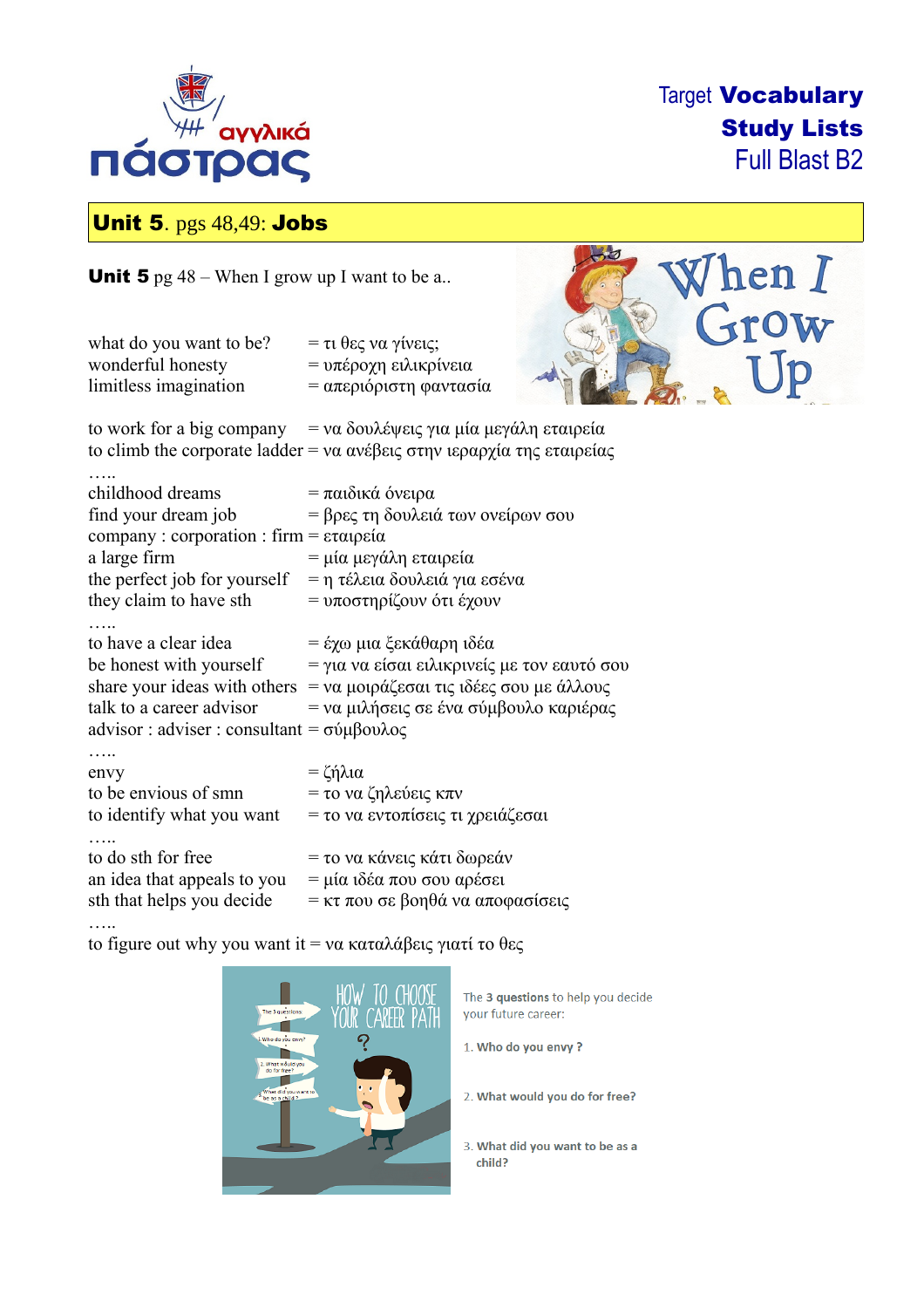

Target Vocabulary Study Lists Full Blast B2

hen I

row

 $Jp$ 

# Unit 5. pgs 48,49: Jobs

**Unit 5** pg  $48 -$  When I grow up I want to be a..

| what do you want to be?                                                                                                                                    | = τι θες να γίνεις;                                                                                                                        |
|------------------------------------------------------------------------------------------------------------------------------------------------------------|--------------------------------------------------------------------------------------------------------------------------------------------|
| wonderful honesty                                                                                                                                          | = υπέροχη ειλικρίνεια                                                                                                                      |
| limitless imagination                                                                                                                                      | = απεριόριστη φαντασία                                                                                                                     |
|                                                                                                                                                            | to work for a big company = να δουλέψεις για μία μεγάλη εταιρεία<br>to climb the corporate ladder = να ανέβεις στην ιεραρχία της εταιρείας |
| childhood dreams<br>find your dream job<br>company: corporation: firm = εταιρεία<br>a large firm<br>the perfect job for yourself<br>they claim to have sth | = παιδικά όνειρα<br>= βρες τη δουλειά των ονείρων σου<br>= μία μεγάλη εταιρεία<br>= η τέλεια δουλειά για εσένα<br>= υποστηρίζουν ότι έχουν |
| to have a clear idea                                                                                                                                       | = έχω μια ξεκάθαρη ιδέα                                                                                                                    |
| be honest with yourself                                                                                                                                    | = για να είσαι ειλικρινείς με τον εαυτό σου                                                                                                |
| talk to a career advisor                                                                                                                                   | share your ideas with others = να μοιράζεσαι τις ιδέες σου με άλλους                                                                       |
| advisor : adviser : consultant = $\sigma \psi \beta \omega \lambda o \zeta$                                                                                | = να μιλήσεις σε ένα σύμβουλο καριέρας                                                                                                     |
| envy                                                                                                                                                       | $=$ ζήλια                                                                                                                                  |
| to be envious of smn                                                                                                                                       | = το να ζηλεύεις κπν                                                                                                                       |
| to identify what you want                                                                                                                                  | = το να εντοπίσεις τι χρειάζεσαι                                                                                                           |
| to do sth for free                                                                                                                                         | = το να κάνεις κάτι δωρεάν                                                                                                                 |
| an idea that appeals to you                                                                                                                                | = μία ιδέα που σου αρέσει                                                                                                                  |
| sth that helps you decide                                                                                                                                  | = κτ που σε βοηθά να αποφασίσεις                                                                                                           |

to figure out why you want it = να καταλάβεις γιατί το θες

…..



The 3 questions to help you decide your future career:

1. Who do you envy?

2. What would you do for free?

3. What did you want to be as a child?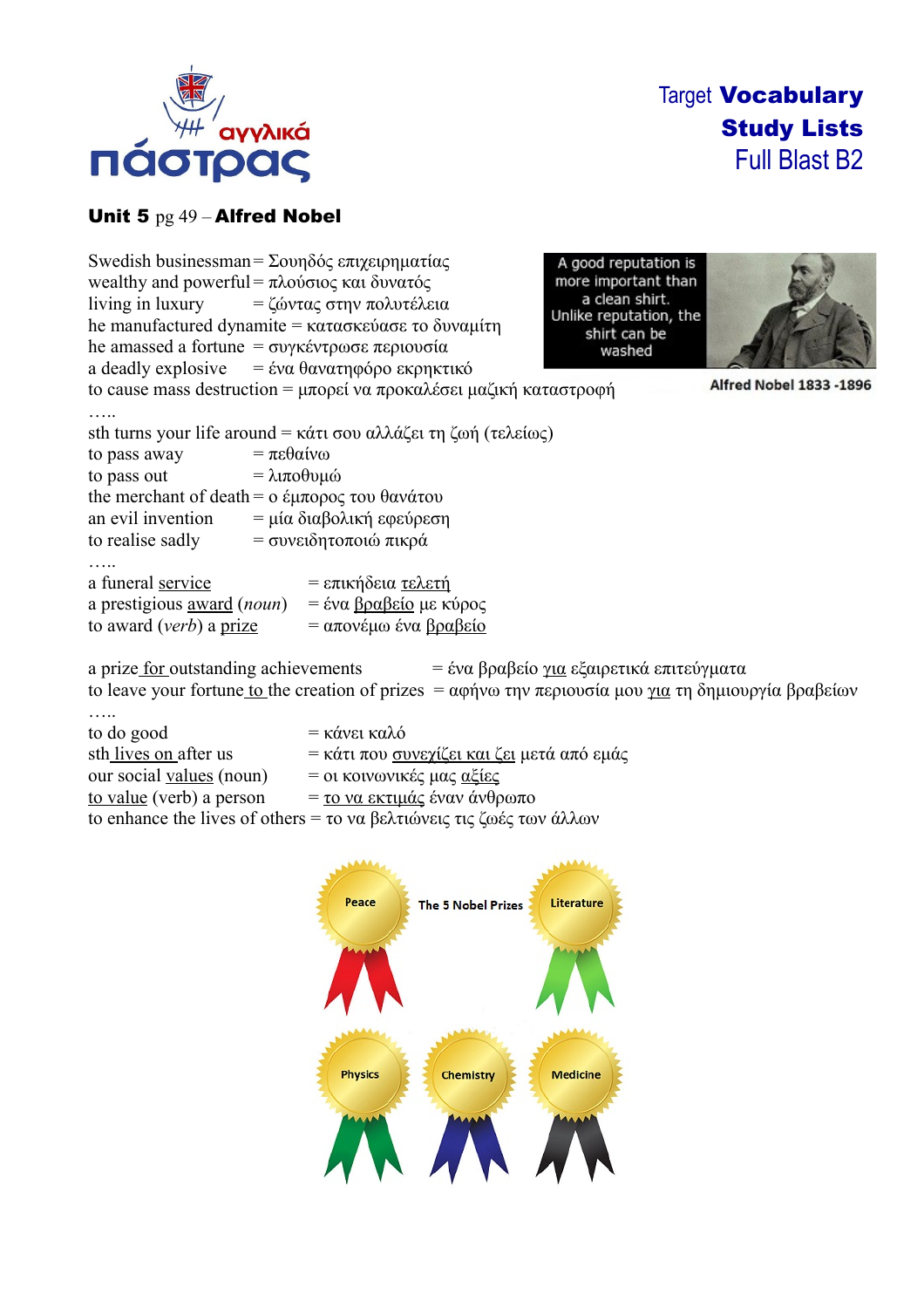

Target Vocabulary Study Lists Full Blast B2

# Unit 5 pg 49 – Alfred Nobel

|                                                                                            | Swedish businessman = Σουηδός επιχειρηματίας<br>wealthy and powerful = πλούσιος και δυνατός<br>living in luxury = ζώντας στην πολυτέλεια<br>he manufactured dynamite = κατασκεύασε το δυναμίτη<br>he amassed a fortune $= \sigma v \gamma \kappa \epsilon v \tau \rho \omega \sigma \epsilon$ περιουσία<br>a deadly explosive $= \dot{\epsilon} v \alpha \theta \alpha v \alpha \tau \eta \varphi \acute{o} \rho \circ \epsilon \kappa \rho \eta \kappa \tau \kappa \acute{o}$<br>to cause mass destruction = μπορεί να προκαλέσει μαζική καταστροφή | A good reputation is<br>more important than<br>a clean shirt.<br>Unlike reputation, the<br>shirt can be<br>washed | Alfred Nobel 1833 -1896 |
|--------------------------------------------------------------------------------------------|------------------------------------------------------------------------------------------------------------------------------------------------------------------------------------------------------------------------------------------------------------------------------------------------------------------------------------------------------------------------------------------------------------------------------------------------------------------------------------------------------------------------------------------------------|-------------------------------------------------------------------------------------------------------------------|-------------------------|
|                                                                                            |                                                                                                                                                                                                                                                                                                                                                                                                                                                                                                                                                      |                                                                                                                   |                         |
|                                                                                            | sth turns your life around = κάτι σου αλλάζει τη ζωή (τελείως)                                                                                                                                                                                                                                                                                                                                                                                                                                                                                       |                                                                                                                   |                         |
| to pass away                                                                               | $= \pi \epsilon \theta \alpha \omega$                                                                                                                                                                                                                                                                                                                                                                                                                                                                                                                |                                                                                                                   |                         |
| to pass out                                                                                | $= \lambda$ ιποθυμώ                                                                                                                                                                                                                                                                                                                                                                                                                                                                                                                                  |                                                                                                                   |                         |
|                                                                                            | the merchant of death = $\alpha \in \mu \pi$ opoc του θανάτου                                                                                                                                                                                                                                                                                                                                                                                                                                                                                        |                                                                                                                   |                         |
| an evil invention                                                                          | = μία διαβολική εφεύρεση                                                                                                                                                                                                                                                                                                                                                                                                                                                                                                                             |                                                                                                                   |                         |
| to realise sadly                                                                           | = συνειδητοποιώ πικρά                                                                                                                                                                                                                                                                                                                                                                                                                                                                                                                                |                                                                                                                   |                         |
| a funeral service<br>a prestigious <u>award</u> (noun)<br>to award ( <i>verb</i> ) a prize | = επικήδεια τελετή<br>= ένα <u>βραβείο</u> με κύρος<br>= απονέμω ένα βραβείο                                                                                                                                                                                                                                                                                                                                                                                                                                                                         |                                                                                                                   |                         |

a prize for outstanding achievements = ένα βραβείο για εξαιρετικά επιτεύγματα to leave your fortune to the creation of prizes = αφήνω την περιουσία μου για τη δημιουργία βραβείων

| to do good               | = κάνει καλό                                                         |
|--------------------------|----------------------------------------------------------------------|
| sth lives on after us    | = κάτι που συνεχίζει και ζει μετά από εμάς                           |
| our social values (noun) | = οι κοινωνικές μας <u>αξίες</u>                                     |
| to value (verb) a person | = <u>το να εκτιμάς</u> έναν άνθρωπο                                  |
|                          | to enhance the lives of others = το να βελτιώνεις τις ζωές των άλλων |

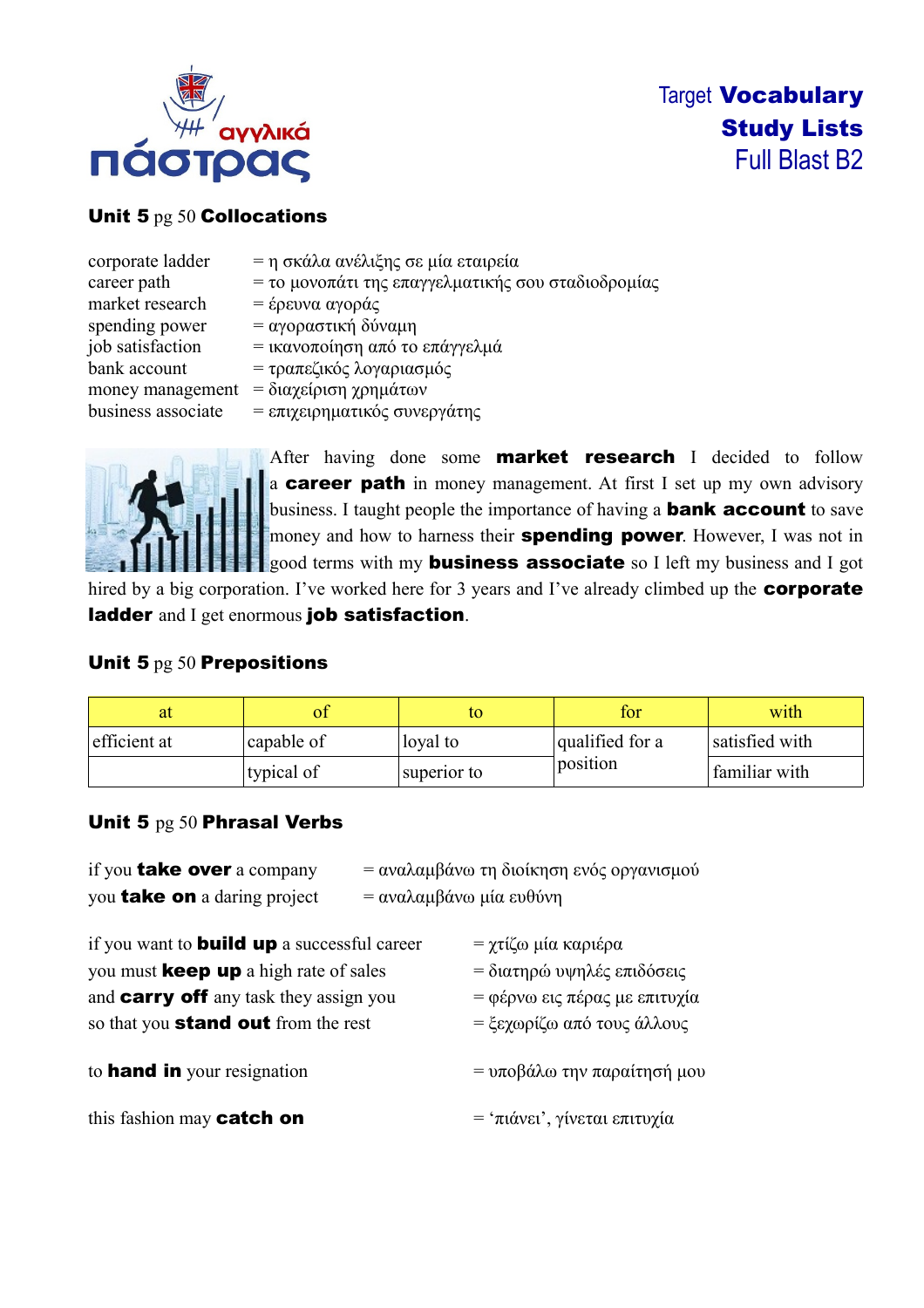

### Unit 5 pg 50 Collocations

| corporate ladder   | = η σκάλα ανέλιξης σε μία εταιρεία                 |
|--------------------|----------------------------------------------------|
| career path        | = το μονοπάτι της επαγγελματικής σου σταδιοδρομίας |
| market research    | = έρευνα αγοράς                                    |
| spending power     | = αγοραστική δύναμη                                |
| job satisfaction   | = ικανοποίηση από το επάγγελμά                     |
| bank account       | = τραπεζικός λογαριασμός                           |
| money management   | = διαχείριση χρημάτων                              |
| business associate | = επιχειρηματικός συνεργάτης                       |



After having done some **market research** I decided to follow a career path in money management. At first I set up my own advisory business. I taught people the importance of having a **bank account** to save money and how to harness their **spending power**. However, I was not in good terms with my **business associate** so I left my business and I got

hired by a big corporation. I've worked here for 3 years and I've already climbed up the **corporate** ladder and I get enormous job satisfaction.

#### Unit 5 pg 50 Prepositions

|              |                      |             | for             | with           |
|--------------|----------------------|-------------|-----------------|----------------|
| efficient at | $ {\rm capable\ of}$ | loyal to    | qualified for a | satisfied with |
|              | typical of           | superior to | position        | familiar with  |

## Unit 5 pg 50 Phrasal Verbs

| if you <b>take over</b> a company                  |                         | = αναλαμβάνω τη διοίκηση ενός οργανισμού |
|----------------------------------------------------|-------------------------|------------------------------------------|
| you <b>take on</b> a daring project                | = αναλαμβάνω μία ευθύνη |                                          |
| if you want to <b>build up</b> a successful career |                         | = χτίζω μία καριέρα                      |
| you must <b>keep up</b> a high rate of sales       |                         | = διατηρώ υψηλές επιδόσεις               |
| and <b>carry off</b> any task they assign you      |                         | = φέρνω εις πέρας με επιτυχία            |
| so that you <b>stand out</b> from the rest         |                         | = ξεχωρίζω από τους άλλους               |
| to <b>hand in</b> your resignation                 |                         | = υποβάλω την παραίτησή μου              |
| this fashion may catch on                          |                         | = 'πιάνει', γίνεται επιτυχία             |